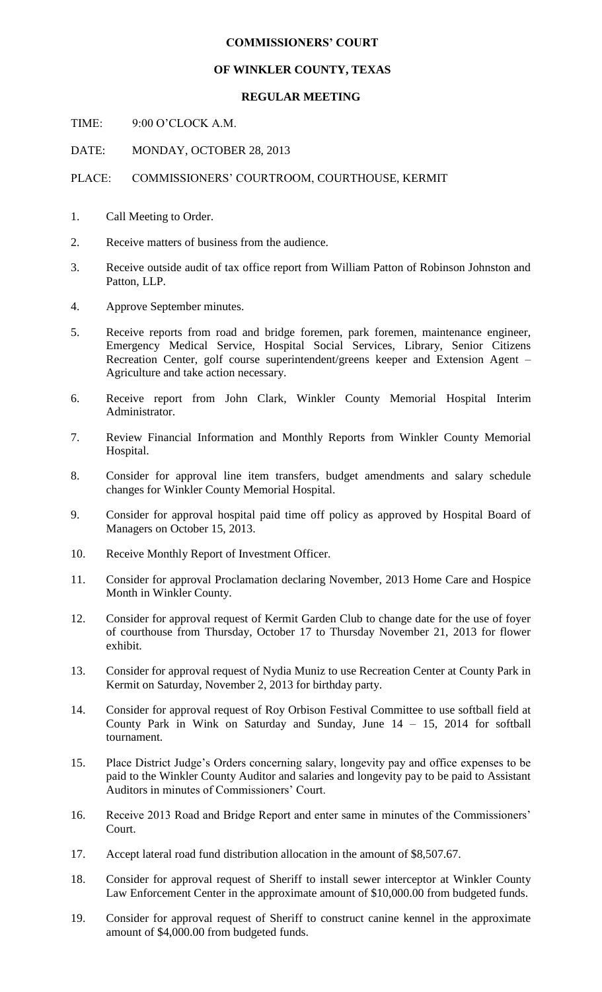## **COMMISSIONERS' COURT**

## **OF WINKLER COUNTY, TEXAS**

## **REGULAR MEETING**

TIME: 9:00 O'CLOCK A.M.

DATE: MONDAY, OCTOBER 28, 2013

PLACE: COMMISSIONERS' COURTROOM, COURTHOUSE, KERMIT

- 1. Call Meeting to Order.
- 2. Receive matters of business from the audience.
- 3. Receive outside audit of tax office report from William Patton of Robinson Johnston and Patton, LLP.
- 4. Approve September minutes.
- 5. Receive reports from road and bridge foremen, park foremen, maintenance engineer, Emergency Medical Service, Hospital Social Services, Library, Senior Citizens Recreation Center, golf course superintendent/greens keeper and Extension Agent – Agriculture and take action necessary.
- 6. Receive report from John Clark, Winkler County Memorial Hospital Interim Administrator.
- 7. Review Financial Information and Monthly Reports from Winkler County Memorial Hospital.
- 8. Consider for approval line item transfers, budget amendments and salary schedule changes for Winkler County Memorial Hospital.
- 9. Consider for approval hospital paid time off policy as approved by Hospital Board of Managers on October 15, 2013.
- 10. Receive Monthly Report of Investment Officer.
- 11. Consider for approval Proclamation declaring November, 2013 Home Care and Hospice Month in Winkler County.
- 12. Consider for approval request of Kermit Garden Club to change date for the use of foyer of courthouse from Thursday, October 17 to Thursday November 21, 2013 for flower exhibit.
- 13. Consider for approval request of Nydia Muniz to use Recreation Center at County Park in Kermit on Saturday, November 2, 2013 for birthday party.
- 14. Consider for approval request of Roy Orbison Festival Committee to use softball field at County Park in Wink on Saturday and Sunday, June  $14 - 15$ , 2014 for softball tournament.
- 15. Place District Judge's Orders concerning salary, longevity pay and office expenses to be paid to the Winkler County Auditor and salaries and longevity pay to be paid to Assistant Auditors in minutes of Commissioners' Court.
- 16. Receive 2013 Road and Bridge Report and enter same in minutes of the Commissioners' Court.
- 17. Accept lateral road fund distribution allocation in the amount of \$8,507.67.
- 18. Consider for approval request of Sheriff to install sewer interceptor at Winkler County Law Enforcement Center in the approximate amount of \$10,000.00 from budgeted funds.
- 19. Consider for approval request of Sheriff to construct canine kennel in the approximate amount of \$4,000.00 from budgeted funds.